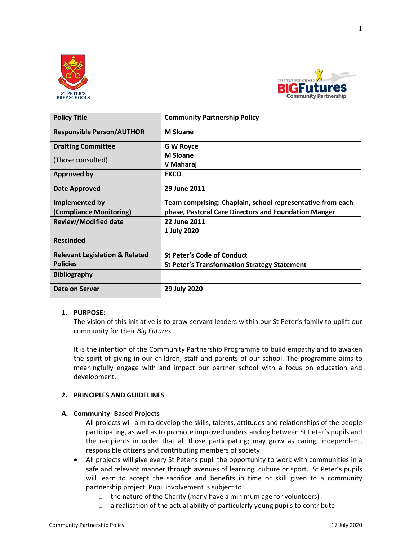



| <b>Policy Title</b>                       | <b>Community Partnership Policy</b>                        |
|-------------------------------------------|------------------------------------------------------------|
| <b>Responsible Person/AUTHOR</b>          | <b>M</b> Sloane                                            |
| <b>Drafting Committee</b>                 | <b>G W Royce</b>                                           |
| (Those consulted)                         | <b>M</b> Sloane                                            |
|                                           | V Maharaj                                                  |
| <b>Approved by</b>                        | <b>EXCO</b>                                                |
| Date Approved                             | 29 June 2011                                               |
| Implemented by                            | Team comprising: Chaplain, school representative from each |
| (Compliance Monitoring)                   | phase, Pastoral Care Directors and Foundation Manger       |
| <b>Review/Modified date</b>               | 22 June 2011                                               |
|                                           | 1 July 2020                                                |
| <b>Rescinded</b>                          |                                                            |
| <b>Relevant Legislation &amp; Related</b> | <b>St Peter's Code of Conduct</b>                          |
| <b>Policies</b>                           | <b>St Peter's Transformation Strategy Statement</b>        |
| <b>Bibliography</b>                       |                                                            |
| Date on Server                            | 29 July 2020                                               |

### **1. PURPOSE:**

The vision of this initiative is to grow servant leaders within our St Peter's family to uplift our community for their *Big Futures*.

It is the intention of the Community Partnership Programme to build empathy and to awaken the spirit of giving in our children, staff and parents of our school. The programme aims to meaningfully engage with and impact our partner school with a focus on education and development.

### **2. PRINCIPLES AND GUIDELINES**

### **A. Community- Based Projects**

All projects will aim to develop the skills, talents, attitudes and relationships of the people participating, as well as to promote improved understanding between St Peter's pupils and the recipients in order that all those participating; may grow as caring, independent, responsible citizens and contributing members of society.

- All projects will give every St Peter's pupil the opportunity to work with communities in a safe and relevant manner through avenues of learning, culture or sport. St Peter's pupils will learn to accept the sacrifice and benefits in time or skill given to a community partnership project. Pupil involvement is subject to:
	- o the nature of the Charity (many have a minimum age for volunteers)
	- o a realisation of the actual ability of particularly young pupils to contribute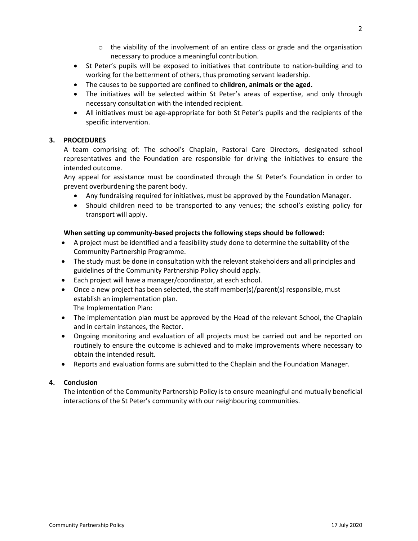- $\circ$  the viability of the involvement of an entire class or grade and the organisation necessary to produce a meaningful contribution.
- St Peter's pupils will be exposed to initiatives that contribute to nation-building and to working for the betterment of others, thus promoting servant leadership.
- The causes to be supported are confined to **children, animals or the aged.**
- The initiatives will be selected within St Peter's areas of expertise, and only through necessary consultation with the intended recipient.
- All initiatives must be age-appropriate for both St Peter's pupils and the recipients of the specific intervention.

# **3. PROCEDURES**

A team comprising of: The school's Chaplain, Pastoral Care Directors, designated school representatives and the Foundation are responsible for driving the initiatives to ensure the intended outcome.

Any appeal for assistance must be coordinated through the St Peter's Foundation in order to prevent overburdening the parent body.

- Any fundraising required for initiatives, must be approved by the Foundation Manager.
- Should children need to be transported to any venues; the school's existing policy for transport will apply.

## **When setting up community-based projects the following steps should be followed:**

- A project must be identified and a feasibility study done to determine the suitability of the Community Partnership Programme.
- The study must be done in consultation with the relevant stakeholders and all principles and guidelines of the Community Partnership Policy should apply.
- Each project will have a manager/coordinator, at each school.
- Once a new project has been selected, the staff member(s)/parent(s) responsible, must establish an implementation plan. The Implementation Plan:
- The implementation plan must be approved by the Head of the relevant School, the Chaplain and in certain instances, the Rector.
- Ongoing monitoring and evaluation of all projects must be carried out and be reported on routinely to ensure the outcome is achieved and to make improvements where necessary to obtain the intended result.
- Reports and evaluation forms are submitted to the Chaplain and the Foundation Manager.

## **4. Conclusion**

The intention of the Community Partnership Policy is to ensure meaningful and mutually beneficial interactions of the St Peter's community with our neighbouring communities.